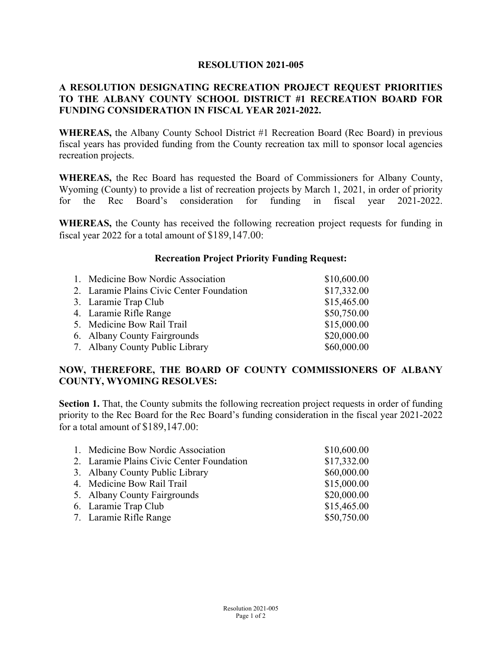### **RESOLUTION 2021-005**

# **A RESOLUTION DESIGNATING RECREATION PROJECT REQUEST PRIORITIES TO THE ALBANY COUNTY SCHOOL DISTRICT #1 RECREATION BOARD FOR FUNDING CONSIDERATION IN FISCAL YEAR 2021-2022.**

**WHEREAS,** the Albany County School District #1 Recreation Board (Rec Board) in previous fiscal years has provided funding from the County recreation tax mill to sponsor local agencies recreation projects.

**WHEREAS,** the Rec Board has requested the Board of Commissioners for Albany County, Wyoming (County) to provide a list of recreation projects by March 1, 2021, in order of priority for the Rec Board's consideration for funding in fiscal year 2021-2022.

**WHEREAS,** the County has received the following recreation project requests for funding in fiscal year 2022 for a total amount of \$189,147.00:

#### **Recreation Project Priority Funding Request:**

| 1. Medicine Bow Nordic Association        | \$10,600.00 |
|-------------------------------------------|-------------|
| 2. Laramie Plains Civic Center Foundation | \$17,332.00 |
| 3. Laramie Trap Club                      | \$15,465.00 |
| 4. Laramie Rifle Range                    | \$50,750.00 |
| 5. Medicine Bow Rail Trail                | \$15,000.00 |
| 6. Albany County Fairgrounds              | \$20,000.00 |
| 7. Albany County Public Library           | \$60,000.00 |

### **NOW, THEREFORE, THE BOARD OF COUNTY COMMISSIONERS OF ALBANY COUNTY, WYOMING RESOLVES:**

**Section 1.** That, the County submits the following recreation project requests in order of funding priority to the Rec Board for the Rec Board's funding consideration in the fiscal year 2021-2022 for a total amount of \$189,147.00:

| 1. Medicine Bow Nordic Association        | \$10,600.00 |
|-------------------------------------------|-------------|
| 2. Laramie Plains Civic Center Foundation | \$17,332.00 |
| 3. Albany County Public Library           | \$60,000.00 |
| 4. Medicine Bow Rail Trail                | \$15,000.00 |
| 5. Albany County Fairgrounds              | \$20,000.00 |
| 6. Laramie Trap Club                      | \$15,465.00 |
| 7. Laramie Rifle Range                    | \$50,750.00 |
|                                           |             |